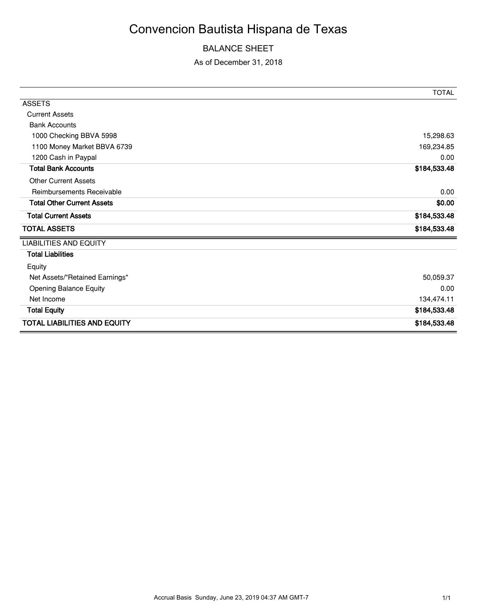# Convencion Bautista Hispana de Texas

## BALANCE SHEET

### As of December 31, 2018

|                                     | <b>TOTAL</b> |
|-------------------------------------|--------------|
| <b>ASSETS</b>                       |              |
| <b>Current Assets</b>               |              |
| <b>Bank Accounts</b>                |              |
| 1000 Checking BBVA 5998             | 15,298.63    |
| 1100 Money Market BBVA 6739         | 169,234.85   |
| 1200 Cash in Paypal                 | 0.00         |
| <b>Total Bank Accounts</b>          | \$184,533.48 |
| <b>Other Current Assets</b>         |              |
| Reimbursements Receivable           | 0.00         |
| <b>Total Other Current Assets</b>   | \$0.00       |
| <b>Total Current Assets</b>         | \$184,533.48 |
| <b>TOTAL ASSETS</b>                 | \$184,533.48 |
| <b>LIABILITIES AND EQUITY</b>       |              |
| <b>Total Liabilities</b>            |              |
| Equity                              |              |
| Net Assets/"Retained Earnings"      | 50,059.37    |
| <b>Opening Balance Equity</b>       | 0.00         |
| Net Income                          | 134,474.11   |
| <b>Total Equity</b>                 | \$184,533.48 |
| <b>TOTAL LIABILITIES AND EQUITY</b> | \$184,533.48 |